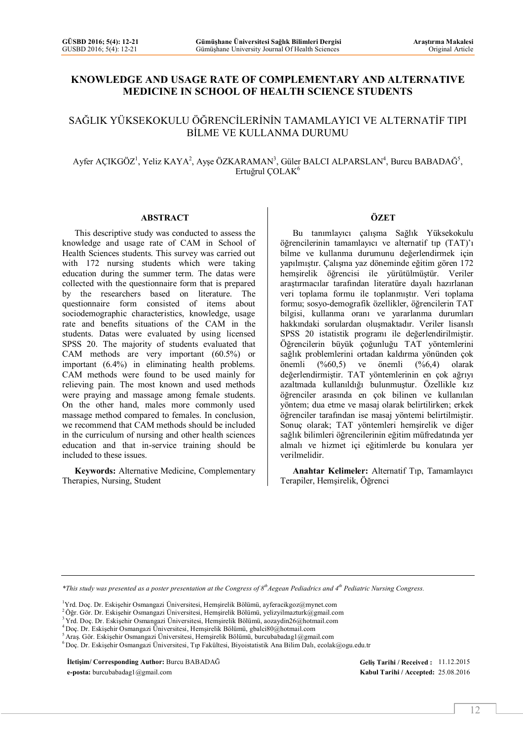#### **KNOWLEDGE AND USAGE RATE OF COMPLEMENTARY AND ALTERNATIVE MEDICINE IN SCHOOL OF HEALTH SCIENCE STUDENTS**

#### SAĞLIK YÜKSEKOKULU ÖĞRENCİLERİNİN TAMAMLAYICI VE ALTERNATİF TIPI BİLME VE KULLANMA DURUMU

#### $A$ yfer AÇIKGÖZ<sup>1</sup>, Yeliz KAYA<sup>2</sup>, Ayşe ÖZKARAMAN<sup>3</sup>, Güler BALCI ALPARSLAN<sup>4</sup>, Burcu BABADAĞ<sup>5</sup>, Ertuğrul ÇOLAK<sup>6</sup>

#### **ABSTRACT**

This descriptive study was conducted to assess the knowledge and usage rate of CAM in School of Health Sciences students. This survey was carried out with 172 nursing students which were taking education during the summer term. The datas were collected with the questionnaire form that is prepared by the researchers based on literature. The questionnaire form consisted of items about sociodemographic characteristics, knowledge, usage rate and benefits situations of the CAM in the students. Datas were evaluated by using licensed SPSS 20. The majority of students evaluated that CAM methods are very important (60.5%) or important (6.4%) in eliminating health problems. CAM methods were found to be used mainly for relieving pain. The most known and used methods were praying and massage among female students. On the other hand, males more commonly used massage method compared to females. In conclusion, we recommend that CAM methods should be included in the curriculum of nursing and other health sciences education and that in-service training should be included to these issues.

**Keywords:** Alternative Medicine, Complementary Therapies, Nursing, Student

#### **ÖZET**

Bu tanımlayıcı çalışma Sağlık Yüksekokulu öğrencilerinin tamamlayıcı ve alternatif tıp (TAT)'ı bilme ve kullanma durumunu değerlendirmek için yapılmıştır. Çalışma yaz döneminde eğitim gören 172 hemşirelik öğrencisi ile yürütülmüştür. Veriler araştırmacılar tarafından literatüre dayalı hazırlanan veri toplama formu ile toplanmıştır. Veri toplama formu; sosyo-demografik özellikler, öğrencilerin TAT bilgisi, kullanma oranı ve yararlanma durumları hakkındaki sorulardan oluşmaktadır. Veriler lisanslı SPSS 20 istatistik programı ile değerlendirilmiştir. Öğrencilerin büyük çoğunluğu TAT yöntemlerini sağlık problemlerini ortadan kaldırma yönünden çok önemli (%60,5) ve önemli (%6,4) olarak değerlendirmiştir. TAT yöntemlerinin en çok ağrıyı azaltmada kullanıldığı bulunmuştur. Özellikle kız öğrenciler arasında en çok bilinen ve kullanılan yöntem; dua etme ve masaj olarak belirtilirken; erkek öğrenciler tarafından ise masaj yöntemi belirtilmiştir. Sonuç olarak; TAT yöntemleri hemşirelik ve diğer sağlık bilimleri öğrencilerinin eğitim müfredatında yer almalı ve hizmet içi eğitimlerde bu konulara yer verilmelidir.

**Anahtar Kelimeler:** Alternatif Tıp, Tamamlayıcı Terapiler, Hemşirelik, Öğrenci

**İletişim/ Corresponding Author:** Burcu BABADAĞ **Geliş Tarihi / Received :** 11.12.2015 **e-posta:** burcubabadag1@gmail.com **Kabul Tarihi / Accepted:** 25.08.2016

*<sup>\*</sup>This study was presented as a poster presentation at the Congress of 8 thAegean Pediadrics and 4th Pediatric Nursing Congress.*

<sup>1</sup>Yrd. Doç. Dr. Eskişehir Osmangazi Üniversitesi, Hemşirelik Bölümü, ayferacikgoz@mynet.com

<sup>&</sup>lt;sup>2</sup> Öğr. Gör. Dr. Eskişehir Osmangazi Üniversitesi, Hemşirelik Bölümü, yelizyilmazturk@gmail.com

<sup>3</sup>Yrd. Doç. Dr. Eskişehir Osmangazi Üniversitesi, Hemşirelik Bölümü, aozaydin26@hotmail.com

<sup>4</sup>Doç. Dr. Eskişehir Osmangazi Üniversitesi, Hemşirelik Bölümü, gbalci80@hotmail.com

 $^5$ Araş. Gör. Eskişehir Osmangazi Üniversitesi, Hemşirelik Bölümü, burcubabadag1@gmail.com

<sup>6</sup> Doç. Dr. Eskişehir Osmangazi Üniversitesi, Tıp Fakültesi, Biyoistatistik Ana Bilim Dalı, ecolak@ogu.edu.tr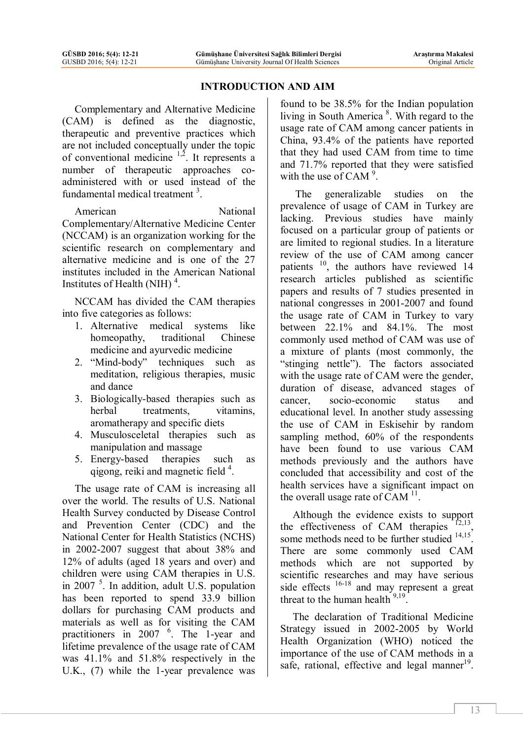#### **INTRODUCTION AND AIM**

Complementary and Alternative Medicine (CAM) is defined as the diagnostic, therapeutic and preventive practices which are not included conceptually under the topic of conventional medicine  $1,2$ . It represents a number of therapeutic approaches coadministered with or used instead of the fundamental medical treatment<sup>3</sup>.

American National Complementary/Alternative Medicine Center (NCCAM) is an organization working for the scientific research on complementary and alternative medicine and is one of the 27 institutes included in the American National Institutes of Health (NIH) $<sup>4</sup>$ .</sup>

NCCAM has divided the CAM therapies into five categories as follows:

- 1. Alternative medical systems like homeopathy, traditional Chinese medicine and ayurvedic medicine
- 2. "Mind-body" techniques such as meditation, religious therapies, music and dance
- 3. Biologically-based therapies such as herbal treatments, vitamins, aromatherapy and specific diets
- 4. Musculosceletal therapies such as manipulation and massage
- 5. Energy-based therapies such as qigong, reiki and magnetic field<sup>4</sup>.

The usage rate of CAM is increasing all over the world. The results of U.S. National Health Survey conducted by Disease Control and Prevention Center (CDC) and the National Center for Health Statistics (NCHS) in 2002-2007 suggest that about 38% and 12% of adults (aged 18 years and over) and children were using CAM therapies in U.S. in 2007 <sup>5</sup> . In addition, adult U.S. population has been reported to spend 33.9 billion dollars for purchasing CAM products and materials as well as for visiting the CAM practitioners in 2007 <sup>6</sup>. The 1-year and lifetime prevalence of the usage rate of CAM was 41.1% and 51.8% respectively in the U.K., (7) while the 1-year prevalence was

found to be 38.5% for the Indian population living in South America<sup>8</sup>. With regard to the usage rate of CAM among cancer patients in China, 93.4% of the patients have reported that they had used CAM from time to time and 71.7% reported that they were satisfied with the use of CAM $^9$ .

The generalizable studies on the prevalence of usage of CAM in Turkey are lacking. Previous studies have mainly focused on a particular group of patients or are limited to regional studies. In a literature review of the use of CAM among cancer patients <sup>10</sup>, the authors have reviewed 14 research articles published as scientific papers and results of 7 studies presented in national congresses in 2001-2007 and found the usage rate of CAM in Turkey to vary between 22.1% and 84.1%. The most commonly used method of CAM was use of a mixture of plants (most commonly, the "stinging nettle"). The factors associated with the usage rate of CAM were the gender, duration of disease, advanced stages of cancer, socio-economic status and educational level. In another study assessing the use of CAM in Eskisehir by random sampling method, 60% of the respondents have been found to use various CAM methods previously and the authors have concluded that accessibility and cost of the health services have a significant impact on the overall usage rate of CAM  $11$ .

Although the evidence exists to support the effectiveness of CAM therapies  $12,13$ some methods need to be further studied  $14,15$ . There are some commonly used CAM methods which are not supported by scientific researches and may have serious side effects  $16-18$  and may represent a great threat to the human health  $9,19$ .

The declaration of Traditional Medicine Strategy issued in 2002-2005 by World Health Organization (WHO) noticed the importance of the use of CAM methods in a safe, rational, effective and legal manner<sup>19</sup>.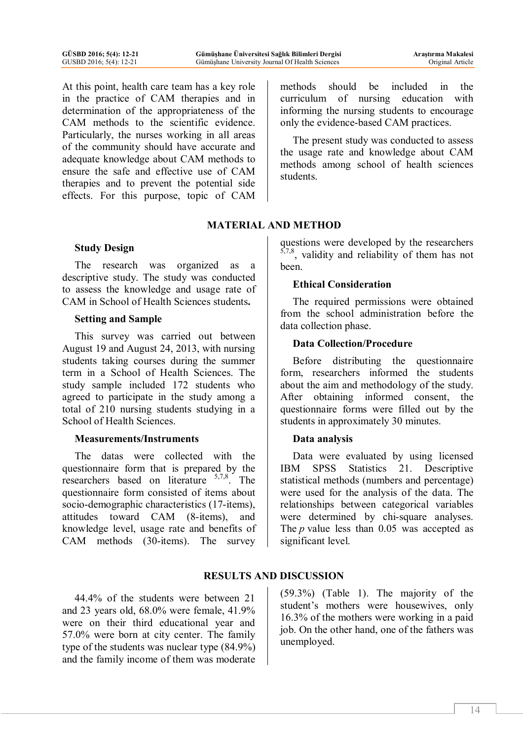At this point, health care team has a key role in the practice of CAM therapies and in determination of the appropriateness of the CAM methods to the scientific evidence. Particularly, the nurses working in all areas of the community should have accurate and adequate knowledge about CAM methods to ensure the safe and effective use of CAM therapies and to prevent the potential side effects. For this purpose, topic of CAM

# **MATERIAL AND METHOD**

## **Study Design**

The research was organized as a descriptive study. The study was conducted to assess the knowledge and usage rate of CAM in School of Health Sciences students**.**

#### **Setting and Sample**

This survey was carried out between August 19 and August 24, 2013, with nursing students taking courses during the summer term in a School of Health Sciences. The study sample included 172 students who agreed to participate in the study among a total of 210 nursing students studying in a School of Health Sciences.

## **Measurements/Instruments**

The datas were collected with the questionnaire form that is prepared by the researchers based on literature <sup>5,7,8</sup>. The questionnaire form consisted of items about socio-demographic characteristics (17-items), attitudes toward CAM (8-items), and knowledge level, usage rate and benefits of CAM methods (30-items). The survey methods should be included in the curriculum of nursing education with informing the nursing students to encourage only the evidence-based CAM practices.

The present study was conducted to assess the usage rate and knowledge about CAM methods among school of health sciences students.

## questions were developed by the researchers  $5,7,8$ , validity and reliability of them has not been.

# **Ethical Consideration**

The required permissions were obtained from the school administration before the data collection phase.

# **Data Collection/Procedure**

Before distributing the questionnaire form, researchers informed the students about the aim and methodology of the study. After obtaining informed consent, the questionnaire forms were filled out by the students in approximately 30 minutes.

## **Data analysis**

Data were evaluated by using licensed IBM SPSS Statistics 21. Descriptive statistical methods (numbers and percentage) were used for the analysis of the data. The relationships between categorical variables were determined by chi-square analyses. The *p* value less than 0.05 was accepted as significant level.

# **RESULTS AND DISCUSSION**

44.4% of the students were between 21 and 23 years old, 68.0% were female, 41.9% were on their third educational year and 57.0% were born at city center. The family type of the students was nuclear type (84.9%) and the family income of them was moderate

(59.3%) (Table 1). The majority of the student's mothers were housewives, only 16.3% of the mothers were working in a paid job. On the other hand, one of the fathers was unemployed.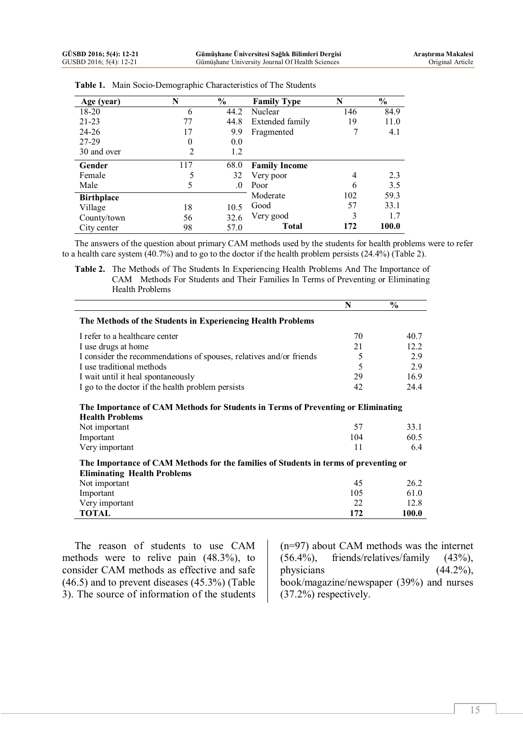| Age (year)        | N   | $\frac{0}{0}$ | <b>Family Type</b>   | N   | $\frac{0}{0}$ |  |  |
|-------------------|-----|---------------|----------------------|-----|---------------|--|--|
| 18-20             | 6   | 44.2          | Nuclear              | 146 | 84.9          |  |  |
| $21 - 23$         | 77  | 44.8          | Extended family      | 19  | 11.0          |  |  |
| $24 - 26$         | 17  | 9.9           | Fragmented           |     | 4.1           |  |  |
| 27-29             | 0   | 0.0           |                      |     |               |  |  |
| 30 and over       | 2   | 1.2           |                      |     |               |  |  |
| Gender            | 117 | 68.0          | <b>Family Income</b> |     |               |  |  |
| Female            | 5   | 32            | Very poor            | 4   | 2.3           |  |  |
| Male              | 5   | $\Omega$      | Poor                 | 6   | 3.5           |  |  |
| <b>Birthplace</b> |     |               | Moderate             | 102 | 59.3          |  |  |
| Village           | 18  | 10.5          | Good                 | 57  | 33.1          |  |  |
| County/town       | 56  | 32.6          | Very good            | 3   | 1.7           |  |  |
| City center       | 98  | 57.0          | Total                | 172 | 100.0         |  |  |

|  | Table 1. Main Socio-Demographic Characteristics of The Students |  |
|--|-----------------------------------------------------------------|--|
|--|-----------------------------------------------------------------|--|

The answers of the question about primary CAM methods used by the students for health problems were to refer to a health care system (40.7%) and to go to the doctor if the health problem persists (24.4%) (Table 2).

**Table 2.** The Methods of The Students In Experiencing Health Problems And The Importance of CAM Methods For Students and Their Families In Terms of Preventing or Eliminating Health Problems

|                                                                                                                            | N   | $\frac{0}{0}$ |  |  |  |  |
|----------------------------------------------------------------------------------------------------------------------------|-----|---------------|--|--|--|--|
| The Methods of the Students in Experiencing Health Problems                                                                |     |               |  |  |  |  |
| I refer to a healthcare center                                                                                             | 70  | 40.7          |  |  |  |  |
| I use drugs at home                                                                                                        | 21  | 12.2          |  |  |  |  |
| I consider the recommendations of spouses, relatives and/or friends                                                        | 5   | 2.9           |  |  |  |  |
| I use traditional methods                                                                                                  | 5   | 2.9           |  |  |  |  |
| I wait until it heal spontaneously                                                                                         | 29  | 16.9          |  |  |  |  |
| I go to the doctor if the health problem persists                                                                          | 42  | 24.4          |  |  |  |  |
| The Importance of CAM Methods for Students in Terms of Preventing or Eliminating<br><b>Health Problems</b>                 |     |               |  |  |  |  |
| Not important                                                                                                              | 57  | 33.1          |  |  |  |  |
| Important                                                                                                                  | 104 | 60.5          |  |  |  |  |
| Very important                                                                                                             | 11  | 6.4           |  |  |  |  |
| The Importance of CAM Methods for the families of Students in terms of preventing or<br><b>Eliminating Health Problems</b> |     |               |  |  |  |  |
| Not important                                                                                                              | 45  | 26.2          |  |  |  |  |
| Important                                                                                                                  | 105 | 61.0          |  |  |  |  |
| Very important                                                                                                             | 22  | 12.8          |  |  |  |  |
| TOTAL                                                                                                                      | 172 | 100.0         |  |  |  |  |

The reason of students to use CAM methods were to relive pain (48.3%), to consider CAM methods as effective and safe (46.5) and to prevent diseases (45.3%) (Table 3). The source of information of the students

(n=97) about CAM methods was the internet (56.4%), friends/relatives/family (43%), physicians (44.2%), book/magazine/newspaper (39%) and nurses (37.2%) respectively.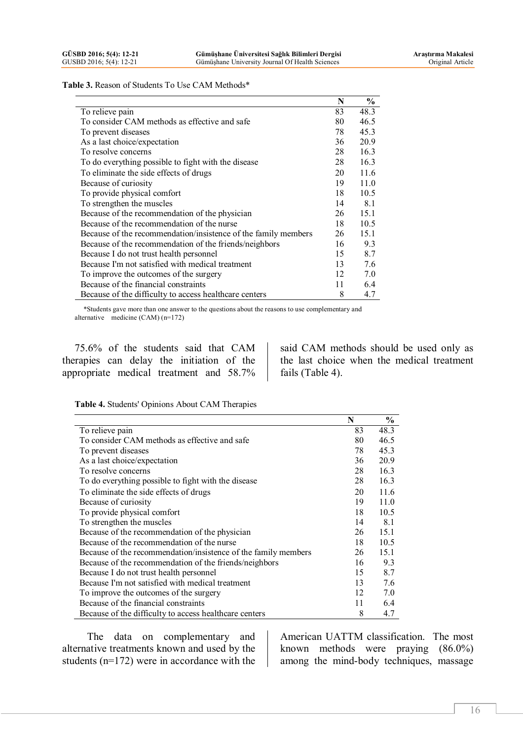**Table 3.** Reason of Students To Use CAM Methods\*

|                                                                | N  | $\frac{0}{0}$ |
|----------------------------------------------------------------|----|---------------|
| To relieve pain                                                | 83 | 48.3          |
| To consider CAM methods as effective and safe                  | 80 | 46.5          |
| To prevent diseases                                            | 78 | 45.3          |
| As a last choice/expectation                                   | 36 | 20.9          |
| To resolve concerns                                            | 28 | 16.3          |
| To do everything possible to fight with the disease            | 28 | 16.3          |
| To eliminate the side effects of drugs                         | 20 | 11.6          |
| Because of curiosity                                           | 19 | 11.0          |
| To provide physical comfort                                    | 18 | 10.5          |
| To strengthen the muscles                                      | 14 | 8.1           |
| Because of the recommendation of the physician                 | 26 | 15.1          |
| Because of the recommendation of the nurse                     | 18 | 10.5          |
| Because of the recommendation/insistence of the family members | 26 | 15.1          |
| Because of the recommendation of the friends/neighbors         | 16 | 9.3           |
| Because I do not trust health personnel                        | 15 | 8.7           |
| Because I'm not satisfied with medical treatment               | 13 | 7.6           |
| To improve the outcomes of the surgery                         | 12 | 7.0           |
| Because of the financial constraints                           | 11 | 6.4           |
| Because of the difficulty to access healthcare centers         | 8  | 4.7           |

 \*Students gave more than one answer to the questions about the reasons to use complementary and alternative medicine (CAM) (n=172)

75.6% of the students said that CAM therapies can delay the initiation of the appropriate medical treatment and 58.7% said CAM methods should be used only as the last choice when the medical treatment fails (Table 4).

**Table 4.** Students' Opinions About CAM Therapies

|                                                                | N  | $\frac{6}{9}$ |
|----------------------------------------------------------------|----|---------------|
| To relieve pain                                                | 83 | 48.3          |
| To consider CAM methods as effective and safe                  | 80 | 46.5          |
| To prevent diseases                                            | 78 | 45.3          |
| As a last choice/expectation                                   | 36 | 20.9          |
| To resolve concerns                                            | 28 | 16.3          |
| To do everything possible to fight with the disease            | 28 | 16.3          |
| To eliminate the side effects of drugs                         | 20 | 11.6          |
| Because of curiosity                                           | 19 | 11.0          |
| To provide physical comfort                                    | 18 | 10.5          |
| To strengthen the muscles                                      | 14 | 8.1           |
| Because of the recommendation of the physician                 | 26 | 15.1          |
| Because of the recommendation of the nurse                     | 18 | 10.5          |
| Because of the recommendation/insistence of the family members | 26 | 15.1          |
| Because of the recommendation of the friends/neighbors         | 16 | 9.3           |
| Because I do not trust health personnel                        | 15 | 8.7           |
| Because I'm not satisfied with medical treatment               | 13 | 7.6           |
| To improve the outcomes of the surgery                         | 12 | 7.0           |
| Because of the financial constraints                           | 11 | 6.4           |
| Because of the difficulty to access healthcare centers         | 8  | 4.7           |

The data on complementary and alternative treatments known and used by the students (n=172) were in accordance with the

American UATTM classification. The most known methods were praying (86.0%) among the mind-body techniques, massage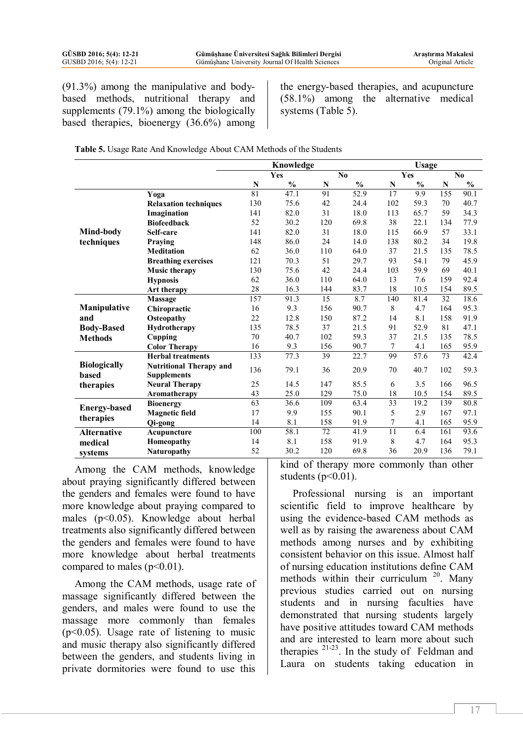(91.3%) among the manipulative and bodybased methods, nutritional therapy and supplements (79.1%) among the biologically based therapies, bioenergy (36.6%) among the energy-based therapies, and acupuncture (58.1%) among the alternative medical systems (Table 5).

| Table 5. Usage Rate And Knowledge About CAM Methods of the Students |  |
|---------------------------------------------------------------------|--|
|---------------------------------------------------------------------|--|

|                              |                                             | Knowledge |               |                 |               |                 | <b>Usage</b>  |                |               |  |
|------------------------------|---------------------------------------------|-----------|---------------|-----------------|---------------|-----------------|---------------|----------------|---------------|--|
|                              |                                             | Yes       |               |                 | No            | Yes             |               | N <sub>0</sub> |               |  |
|                              |                                             | N         | $\frac{0}{0}$ | N               | $\frac{0}{0}$ | N               | $\frac{0}{0}$ | $\mathbf N$    | $\frac{0}{0}$ |  |
|                              | Yoga                                        | 81        | 47.1          | 91              | 52.9          | 17              | 9.9           | 155            | 90.1          |  |
|                              | <b>Relaxation techniques</b>                | 130       | 75.6          | 42              | 24.4          | 102             | 59.3          | 70             | 40.7          |  |
|                              | Imagination                                 | 141       | 82.0          | 31              | 18.0          | 113             | 65.7          | 59             | 34.3          |  |
|                              | <b>Biofeedback</b>                          | 52        | 30.2          | 120             | 69.8          | 38              | 22.1          | 134            | 77.9          |  |
| Mind-body                    | Self-care                                   | 141       | 82.0          | 31              | 18.0          | 115             | 66.9          | 57             | 33.1          |  |
| techniques                   | Praying                                     | 148       | 86.0          | 24              | 14.0          | 138             | 80.2          | 34             | 19.8          |  |
|                              | <b>Meditation</b>                           | 62        | 36.0          | 110             | 64.0          | 37              | 21.5          | 135            | 78.5          |  |
|                              | <b>Breathing exercises</b>                  | 121       | 70.3          | 51              | 29.7          | 93              | 54.1          | 79             | 45.9          |  |
|                              | <b>Music therapy</b>                        | 130       | 75.6          | 42              | 24.4          | 103             | 59.9          | 69             | 40.1          |  |
|                              | <b>Hypnosis</b>                             | 62        | 36.0          | 110             | 64.0          | 13              | 7.6           | 159            | 92.4          |  |
|                              | Art therapy                                 | 28        | 16.3          | 144             | 83.7          | 18              | 10.5          | 154            | 89.5          |  |
|                              | Massage                                     | 157       | 91.3          | $\overline{15}$ | 8.7           | 140             | 81.4          | 32             | 18.6          |  |
| Manipulative                 | Chiropractic                                | 16        | 9.3           | 156             | 90.7          | 8               | 4.7           | 164            | 95.3          |  |
| and                          | Osteopathy                                  | 22        | 12.8          | 150             | 87.2          | 14              | 8.1           | 158            | 91.9          |  |
| <b>Body-Based</b>            | Hydrotherapy                                | 135       | 78.5          | 37              | 21.5          | 91              | 52.9          | 81             | 47.1          |  |
| <b>Methods</b>               | Cupping                                     | 70        | 40.7          | 102             | 59.3          | 37              | 21.5          | 135            | 78.5          |  |
|                              | <b>Color Therapy</b>                        | 16        | 9.3           | 156             | 90.7          | $\overline{7}$  | 4.1           | 165            | 95.9          |  |
|                              | <b>Herbal treatments</b>                    | 133       | 77.3          | 39              | 22.7          | 99              | 57.6          | 73             | 42.4          |  |
| <b>Biologically</b><br>based | <b>Nutritional Therapy and</b>              | 136       | 79.1          | 36              | 20.9          | 70              | 40.7          | 102            | 59.3          |  |
|                              | <b>Supplements</b><br><b>Neural Therapy</b> | 25        | 14.5          | 147             | 85.5          | 6               | 3.5           | 166            | 96.5          |  |
| therapies                    | Aromatherapy                                | 43        | 25.0          | 129             | 75.0          | 18              | 10.5          | 154            | 89.5          |  |
|                              | <b>Bioenergy</b>                            | 63        | 36.6          | 109             | 63.4          | 33              | 19.2          | 139            | 80.8          |  |
| <b>Energy-based</b>          | <b>Magnetic field</b>                       | 17        | 9.9           | 155             | 90.1          | 5               | 2.9           | 167            | 97.1          |  |
| therapies                    | Qi-gong                                     | 14        | 8.1           | 158             | 91.9          | 7               | 4.1           | 165            | 95.9          |  |
| <b>Alternative</b>           | Acupuncture                                 | 100       | 58.1          | 72              | 41.9          | $\overline{11}$ | 6.4           | 161            | 93.6          |  |
| medical                      | Homeopathy                                  | 14        | 8.1           | 158             | 91.9          | 8               | 4.7           | 164            | 95.3          |  |
| systems                      | <b>Naturopathy</b>                          | 52        | 30.2          | 120             | 69.8          | 36              | 20.9          | 136            | 79.1          |  |

Among the CAM methods, knowledge about praying significantly differed between the genders and females were found to have more knowledge about praying compared to males (p<0.05). Knowledge about herbal treatments also significantly differed between the genders and females were found to have more knowledge about herbal treatments compared to males  $(p<0.01)$ .

Among the CAM methods, usage rate of massage significantly differed between the genders, and males were found to use the massage more commonly than females  $(p<0.05)$ . Usage rate of listening to music and music therapy also significantly differed between the genders, and students living in private dormitories were found to use this kind of therapy more commonly than other students  $(p<0.01)$ .

Professional nursing is an important scientific field to improve healthcare by using the evidence-based CAM methods as well as by raising the awareness about CAM methods among nurses and by exhibiting consistent behavior on this issue. Almost half of nursing education institutions define CAM methods within their curriculum<sup>20</sup>. Many previous studies carried out on nursing students and in nursing faculties have demonstrated that nursing students largely have positive attitudes toward CAM methods and are interested to learn more about such therapies  $21-23$ . In the study of Feldman and Laura on students taking education in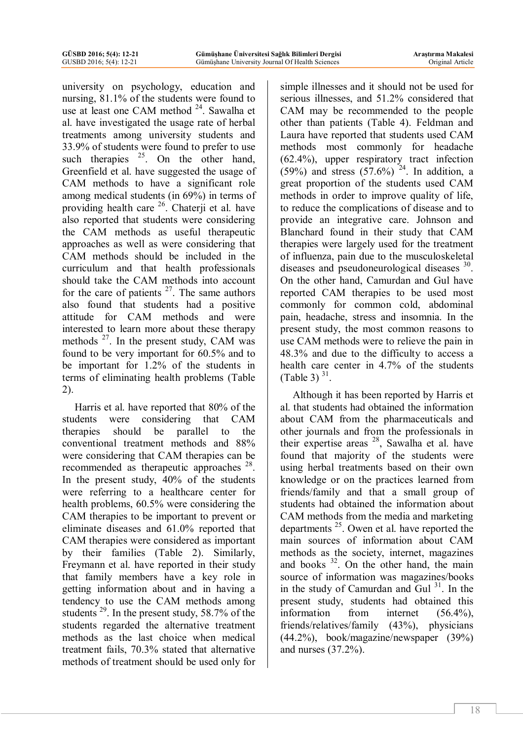university on psychology, education and nursing, 81.1% of the students were found to use at least one CAM method <sup>24</sup>. Sawalha et al. have investigated the usage rate of herbal treatments among university students and 33.9% of students were found to prefer to use such therapies  $25$ . On the other hand, Greenfield et al. have suggested the usage of CAM methods to have a significant role among medical students (in 69%) in terms of providing health care <sup>26</sup>. Chaterji et al. have also reported that students were considering the CAM methods as useful therapeutic approaches as well as were considering that CAM methods should be included in the curriculum and that health professionals should take the CAM methods into account for the care of patients  $27$ . The same authors also found that students had a positive attitude for CAM methods and were interested to learn more about these therapy methods  $2^7$ . In the present study, CAM was found to be very important for 60.5% and to be important for 1.2% of the students in terms of eliminating health problems (Table 2).

Harris et al. have reported that 80% of the students were considering that CAM therapies should be parallel to the conventional treatment methods and 88% were considering that CAM therapies can be recommended as therapeutic approaches <sup>28</sup>. In the present study, 40% of the students were referring to a healthcare center for health problems, 60.5% were considering the CAM therapies to be important to prevent or eliminate diseases and 61.0% reported that CAM therapies were considered as important by their families (Table 2). Similarly, Freymann et al. have reported in their study that family members have a key role in getting information about and in having a tendency to use the CAM methods among students<sup>29</sup>. In the present study, 58.7% of the students regarded the alternative treatment methods as the last choice when medical treatment fails, 70.3% stated that alternative methods of treatment should be used only for

simple illnesses and it should not be used for serious illnesses, and 51.2% considered that CAM may be recommended to the people other than patients (Table 4). Feldman and Laura have reported that students used CAM methods most commonly for headache (62.4%), upper respiratory tract infection  $(59%)$  and stress  $(57.6%)$  <sup>24</sup>. In addition, a great proportion of the students used CAM methods in order to improve quality of life, to reduce the complications of disease and to provide an integrative care. Johnson and Blanchard found in their study that CAM therapies were largely used for the treatment of influenza, pain due to the musculoskeletal diseases and pseudoneurological diseases <sup>30</sup>. On the other hand, Camurdan and Gul have reported CAM therapies to be used most commonly for common cold, abdominal pain, headache, stress and insomnia. In the present study, the most common reasons to use CAM methods were to relieve the pain in 48.3% and due to the difficulty to access a health care center in 4.7% of the students (Table 3)  $31$ .

Although it has been reported by Harris et al. that students had obtained the information about CAM from the pharmaceuticals and other journals and from the professionals in their expertise areas  $28$ , Sawalha et al. have found that majority of the students were using herbal treatments based on their own knowledge or on the practices learned from friends/family and that a small group of students had obtained the information about CAM methods from the media and marketing departments<sup>25</sup>. Owen et al. have reported the main sources of information about CAM methods as the society, internet, magazines and books <sup>32</sup>. On the other hand, the main source of information was magazines/books in the study of Camurdan and Gul  $31$ . In the present study, students had obtained this information from internet (56.4%), friends/relatives/family (43%), physicians (44.2%), book/magazine/newspaper (39%) and nurses (37.2%).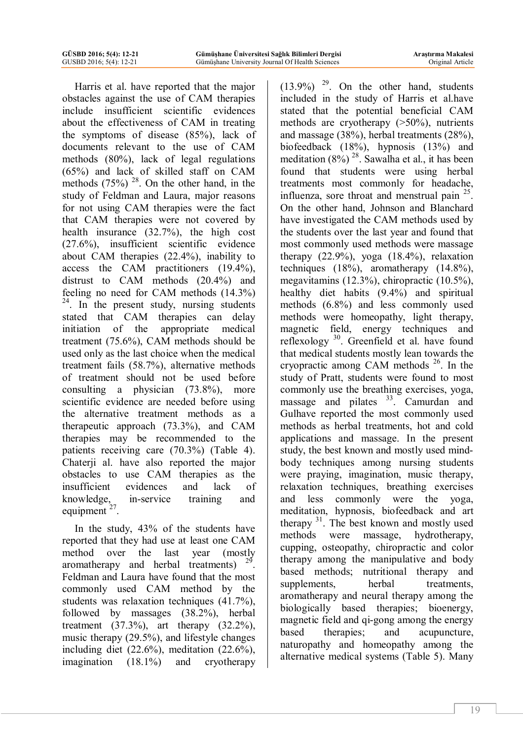Harris et al. have reported that the major obstacles against the use of CAM therapies include insufficient scientific evidences about the effectiveness of CAM in treating the symptoms of disease (85%), lack of documents relevant to the use of CAM methods (80%), lack of legal regulations (65%) and lack of skilled staff on CAM methods  $(75\%)$  <sup>28</sup>. On the other hand, in the study of Feldman and Laura, major reasons for not using CAM therapies were the fact that CAM therapies were not covered by health insurance (32.7%), the high cost (27.6%), insufficient scientific evidence about CAM therapies (22.4%), inability to access the CAM practitioners (19.4%), distrust to CAM methods (20.4%) and feeling no need for CAM methods (14.3%) <sup>24</sup>. In the present study, nursing students stated that CAM therapies can delay initiation of the appropriate medical treatment (75.6%), CAM methods should be used only as the last choice when the medical treatment fails (58.7%), alternative methods of treatment should not be used before consulting a physician (73.8%), more scientific evidence are needed before using the alternative treatment methods as a therapeutic approach (73.3%), and CAM therapies may be recommended to the patients receiving care (70.3%) (Table 4). Chaterji al. have also reported the major obstacles to use CAM therapies as the insufficient evidences and lack of knowledge, in-service training and equipment  $27$ .

In the study, 43% of the students have reported that they had use at least one CAM method over the last year (mostly aromatherapy and herbal treatments)  $29$ . Feldman and Laura have found that the most commonly used CAM method by the students was relaxation techniques (41.7%). followed by massages (38.2%), herbal treatment  $(37.3\%)$ , art therapy  $(32.2\%)$ , music therapy (29.5%), and lifestyle changes including diet (22.6%), meditation (22.6%), imagination (18.1%) and cryotherapy

 $(13.9\%)$ <sup>29</sup>. On the other hand, students included in the study of Harris et al.have stated that the potential beneficial CAM methods are cryotherapy (>50%), nutrients and massage (38%), herbal treatments (28%), biofeedback (18%), hypnosis (13%) and meditation  $(8\%)$ <sup>28</sup>. Sawalha et al., it has been found that students were using herbal treatments most commonly for headache, influenza, sore throat and menstrual pain  $25$ . On the other hand, Johnson and Blanchard have investigated the CAM methods used by the students over the last year and found that most commonly used methods were massage therapy (22.9%), yoga (18.4%), relaxation techniques (18%), aromatherapy (14.8%), megavitamins (12.3%), chiropractic (10.5%), healthy diet habits (9.4%) and spiritual methods (6.8%) and less commonly used methods were homeopathy, light therapy, magnetic field, energy techniques and reflexology<sup>30</sup>. Greenfield et al. have found that medical students mostly lean towards the cryopractic among CAM methods <sup>26</sup>. In the study of Pratt, students were found to most commonly use the breathing exercises, yoga, massage and pilates <sup>33</sup>. Camurdan and Gulhave reported the most commonly used methods as herbal treatments, hot and cold applications and massage. In the present study, the best known and mostly used mindbody techniques among nursing students were praying, imagination, music therapy, relaxation techniques, breathing exercises and less commonly were the yoga, meditation, hypnosis, biofeedback and art therapy <sup>31</sup>. The best known and mostly used methods were massage, hydrotherapy, cupping, osteopathy, chiropractic and color therapy among the manipulative and body based methods; nutritional therapy and supplements, herbal treatments, aromatherapy and neural therapy among the biologically based therapies; bioenergy, magnetic field and qi-gong among the energy based therapies; and acupuncture, naturopathy and homeopathy among the alternative medical systems (Table 5). Many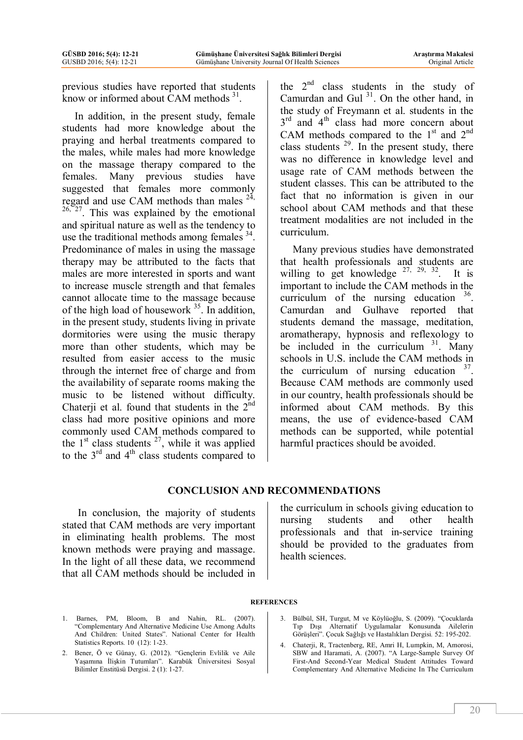previous studies have reported that students know or informed about CAM methods  $31$ .

In addition, in the present study, female students had more knowledge about the praying and herbal treatments compared to the males, while males had more knowledge on the massage therapy compared to the females. Many previous studies have suggested that females more commonly regard and use CAM methods than males  $^{24}$ ,  $26, 27$ . This was explained by the emotional and spiritual nature as well as the tendency to use the traditional methods among females <sup>34</sup>. Predominance of males in using the massage therapy may be attributed to the facts that males are more interested in sports and want to increase muscle strength and that females cannot allocate time to the massage because of the high load of housework <sup>35</sup>. In addition, in the present study, students living in private dormitories were using the music therapy more than other students, which may be resulted from easier access to the music through the internet free of charge and from the availability of separate rooms making the music to be listened without difficulty. Chaterji et al. found that students in the  $2<sup>nd</sup>$ class had more positive opinions and more commonly used CAM methods compared to the  $1<sup>st</sup>$  class students  $<sup>27</sup>$ , while it was applied</sup> to the  $3<sup>rd</sup>$  and  $4<sup>th</sup>$  class students compared to the  $2<sup>nd</sup>$  class students in the study of Camurdan and Gul  $31$ . On the other hand, in the study of Freymann et al. students in the 3<sup>rd</sup> and 4<sup>th</sup> class had more concern about CAM methods compared to the  $1<sup>st</sup>$  and  $2<sup>nd</sup>$ class students  $29$ . In the present study, there was no difference in knowledge level and usage rate of CAM methods between the student classes. This can be attributed to the fact that no information is given in our school about CAM methods and that these treatment modalities are not included in the curriculum.

Many previous studies have demonstrated that health professionals and students are willing to get knowledge  $27, 29, 32$ . . It is important to include the CAM methods in the curriculum of the nursing education  $36$ . Camurdan and Gulhave reported that students demand the massage, meditation, aromatherapy, hypnosis and reflexology to be included in the curriculum  $31$ . Many schools in U.S. include the CAM methods in the curriculum of nursing education  $37$ . Because CAM methods are commonly used in our country, health professionals should be informed about CAM methods. By this means, the use of evidence-based CAM methods can be supported, while potential harmful practices should be avoided.

## **CONCLUSION AND RECOMMENDATIONS**

 In conclusion, the majority of students stated that CAM methods are very important in eliminating health problems. The most known methods were praying and massage. In the light of all these data, we recommend that all CAM methods should be included in

the curriculum in schools giving education to nursing students and other health professionals and that in-service training should be provided to the graduates from health sciences.

#### **REFERENCES**

- 1. Barnes, PM, Bloom, B and Nahin, RL. (2007). "Complementary And Alternative Medicine Use Among Adults And Children: United States". National Center for Health Statistics Reports*.* 10 (12): 1-23.
- 2. Bener, Ö ve Günay, G. (2012). "Gençlerin Evlilik ve Aile Yaşamına İlişkin Tutumları". Karabük Üniversitesi Sosyal Bilimler Enstitüsü Dergisi. 2 (1): 1-27.
- 3. Bülbül, SH, Turgut, M ve Köylüoğlu, S. (2009). "Çocuklarda Tıp Dışı Alternatif Uygulamalar Konusunda Ailelerin Görüşleri". Çocuk Sağlığı ve Hastalıkları Dergisi*.* 52: 195-202.
- 4. Chaterji, R, Tractenberg, RE, Amri H, Lumpkin, M, Amorosi, SBW and Haramati, A. (2007). "A Large-Sample Survey Of First-And Second-Year Medical Student Attitudes Toward Complementary And Alternative Medicine In The Curriculum